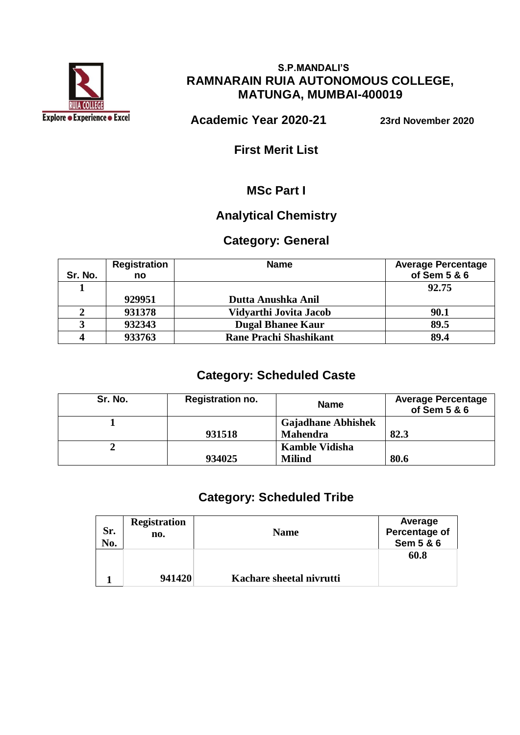

#### **S.P.MANDALI'S RAMNARAIN RUIA AUTONOMOUS COLLEGE, MATUNGA, MUMBAI-400019**

 **Academic Year 2020-21 23rd November 2020**

**First Merit List**

### **MSc Part I**

### **Analytical Chemistry**

## **Category: General**

| Sr. No. | <b>Registration</b><br>no | <b>Name</b>                   | <b>Average Percentage</b><br>of Sem 5 & 6 |
|---------|---------------------------|-------------------------------|-------------------------------------------|
|         |                           |                               | 92.75                                     |
|         | 929951                    | Dutta Anushka Anil            |                                           |
|         | 931378                    | Vidyarthi Jovita Jacob        | 90.1                                      |
|         | 932343                    | <b>Dugal Bhanee Kaur</b>      | 89.5                                      |
|         | 933763                    | <b>Rane Prachi Shashikant</b> | 89.4                                      |

## **Category: Scheduled Caste**

| Sr. No. | <b>Registration no.</b> | <b>Name</b>               | <b>Average Percentage</b><br>of Sem 5 & 6 |
|---------|-------------------------|---------------------------|-------------------------------------------|
|         |                         | <b>Gajadhane Abhishek</b> |                                           |
|         | 931518                  | <b>Mahendra</b>           | 82.3                                      |
|         |                         | <b>Kamble Vidisha</b>     |                                           |
|         | 934025                  | <b>Milind</b>             | 80.6                                      |

## **Category: Scheduled Tribe**

| Sr.<br>No. | <b>Registration</b><br>no. | <b>Name</b>              | Average<br>Percentage of<br>Sem 5 & 6 |
|------------|----------------------------|--------------------------|---------------------------------------|
|            | 941420                     | Kachare sheetal nivrutti | 60.8                                  |